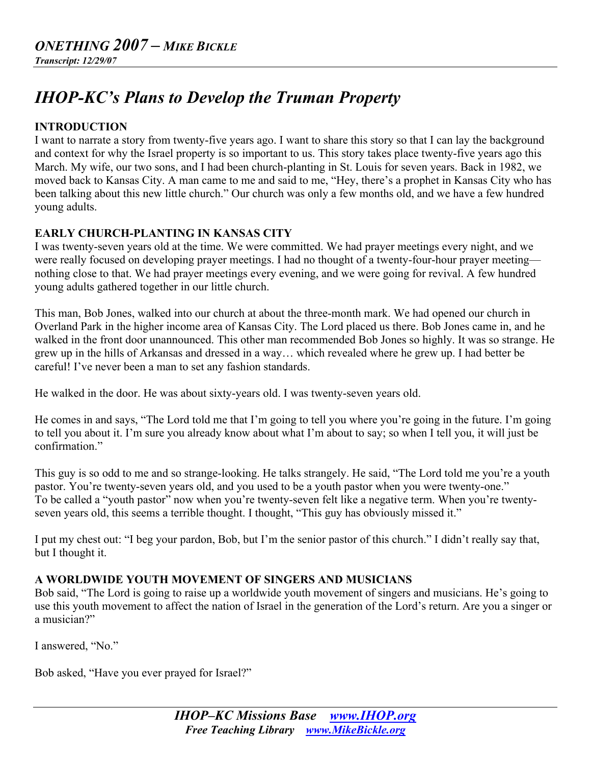# *IHOP-KC's Plans to Develop the Truman Property*

# **INTRODUCTION**

I want to narrate a story from twenty-five years ago. I want to share this story so that I can lay the background and context for why the Israel property is so important to us. This story takes place twenty-five years ago this March. My wife, our two sons, and I had been church-planting in St. Louis for seven years. Back in 1982, we moved back to Kansas City. A man came to me and said to me, "Hey, there's a prophet in Kansas City who has been talking about this new little church." Our church was only a few months old, and we have a few hundred young adults.

# **EARLY CHURCH-PLANTING IN KANSAS CITY**

I was twenty-seven years old at the time. We were committed. We had prayer meetings every night, and we were really focused on developing prayer meetings. I had no thought of a twenty-four-hour prayer meeting nothing close to that. We had prayer meetings every evening, and we were going for revival. A few hundred young adults gathered together in our little church.

This man, Bob Jones, walked into our church at about the three-month mark. We had opened our church in Overland Park in the higher income area of Kansas City. The Lord placed us there. Bob Jones came in, and he walked in the front door unannounced. This other man recommended Bob Jones so highly. It was so strange. He grew up in the hills of Arkansas and dressed in a way… which revealed where he grew up. I had better be careful! I've never been a man to set any fashion standards.

He walked in the door. He was about sixty-years old. I was twenty-seven years old.

He comes in and says, "The Lord told me that I'm going to tell you where you're going in the future. I'm going to tell you about it. I'm sure you already know about what I'm about to say; so when I tell you, it will just be confirmation."

This guy is so odd to me and so strange-looking. He talks strangely. He said, "The Lord told me you're a youth pastor. You're twenty-seven years old, and you used to be a youth pastor when you were twenty-one." To be called a "youth pastor" now when you're twenty-seven felt like a negative term. When you're twentyseven years old, this seems a terrible thought. I thought, "This guy has obviously missed it."

I put my chest out: "I beg your pardon, Bob, but I'm the senior pastor of this church." I didn't really say that, but I thought it.

# **A WORLDWIDE YOUTH MOVEMENT OF SINGERS AND MUSICIANS**

Bob said, "The Lord is going to raise up a worldwide youth movement of singers and musicians. He's going to use this youth movement to affect the nation of Israel in the generation of the Lord's return. Are you a singer or a musician?"

I answered, "No."

Bob asked, "Have you ever prayed for Israel?"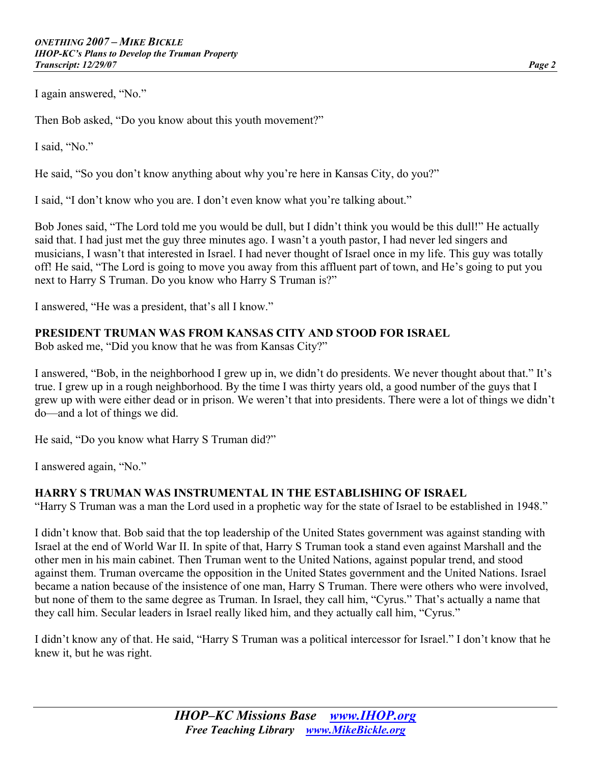I again answered, "No."

Then Bob asked, "Do you know about this youth movement?"

I said, "No."

He said, "So you don't know anything about why you're here in Kansas City, do you?"

I said, "I don't know who you are. I don't even know what you're talking about."

Bob Jones said, "The Lord told me you would be dull, but I didn't think you would be this dull!" He actually said that. I had just met the guy three minutes ago. I wasn't a youth pastor, I had never led singers and musicians, I wasn't that interested in Israel. I had never thought of Israel once in my life. This guy was totally off! He said, "The Lord is going to move you away from this affluent part of town, and He's going to put you next to Harry S Truman. Do you know who Harry S Truman is?"

I answered, "He was a president, that's all I know."

#### **PRESIDENT TRUMAN WAS FROM KANSAS CITY AND STOOD FOR ISRAEL**

Bob asked me, "Did you know that he was from Kansas City?"

I answered, "Bob, in the neighborhood I grew up in, we didn't do presidents. We never thought about that." It's true. I grew up in a rough neighborhood. By the time I was thirty years old, a good number of the guys that I grew up with were either dead or in prison. We weren't that into presidents. There were a lot of things we didn't do—and a lot of things we did.

He said, "Do you know what Harry S Truman did?"

I answered again, "No."

#### **HARRY S TRUMAN WAS INSTRUMENTAL IN THE ESTABLISHING OF ISRAEL**

"Harry S Truman was a man the Lord used in a prophetic way for the state of Israel to be established in 1948."

I didn't know that. Bob said that the top leadership of the United States government was against standing with Israel at the end of World War II. In spite of that, Harry S Truman took a stand even against Marshall and the other men in his main cabinet. Then Truman went to the United Nations, against popular trend, and stood against them. Truman overcame the opposition in the United States government and the United Nations. Israel became a nation because of the insistence of one man, Harry S Truman. There were others who were involved, but none of them to the same degree as Truman. In Israel, they call him, "Cyrus." That's actually a name that they call him. Secular leaders in Israel really liked him, and they actually call him, "Cyrus."

I didn't know any of that. He said, "Harry S Truman was a political intercessor for Israel." I don't know that he knew it, but he was right.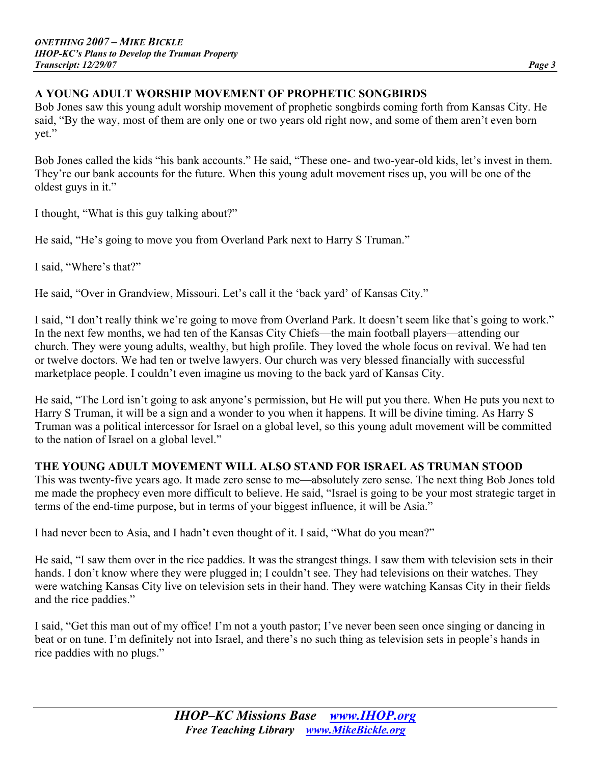# **A YOUNG ADULT WORSHIP MOVEMENT OF PROPHETIC SONGBIRDS**

Bob Jones saw this young adult worship movement of prophetic songbirds coming forth from Kansas City. He said, "By the way, most of them are only one or two years old right now, and some of them aren't even born yet."

Bob Jones called the kids "his bank accounts." He said, "These one- and two-year-old kids, let's invest in them. They're our bank accounts for the future. When this young adult movement rises up, you will be one of the oldest guys in it."

I thought, "What is this guy talking about?"

He said, "He's going to move you from Overland Park next to Harry S Truman."

I said, "Where's that?"

He said, "Over in Grandview, Missouri. Let's call it the 'back yard' of Kansas City."

I said, "I don't really think we're going to move from Overland Park. It doesn't seem like that's going to work." In the next few months, we had ten of the Kansas City Chiefs—the main football players—attending our church. They were young adults, wealthy, but high profile. They loved the whole focus on revival. We had ten or twelve doctors. We had ten or twelve lawyers. Our church was very blessed financially with successful marketplace people. I couldn't even imagine us moving to the back yard of Kansas City.

He said, "The Lord isn't going to ask anyone's permission, but He will put you there. When He puts you next to Harry S Truman, it will be a sign and a wonder to you when it happens. It will be divine timing. As Harry S Truman was a political intercessor for Israel on a global level, so this young adult movement will be committed to the nation of Israel on a global level."

# **THE YOUNG ADULT MOVEMENT WILL ALSO STAND FOR ISRAEL AS TRUMAN STOOD**

This was twenty-five years ago. It made zero sense to me—absolutely zero sense. The next thing Bob Jones told me made the prophecy even more difficult to believe. He said, "Israel is going to be your most strategic target in terms of the end-time purpose, but in terms of your biggest influence, it will be Asia."

I had never been to Asia, and I hadn't even thought of it. I said, "What do you mean?"

He said, "I saw them over in the rice paddies. It was the strangest things. I saw them with television sets in their hands. I don't know where they were plugged in; I couldn't see. They had televisions on their watches. They were watching Kansas City live on television sets in their hand. They were watching Kansas City in their fields and the rice paddies."

I said, "Get this man out of my office! I'm not a youth pastor; I've never been seen once singing or dancing in beat or on tune. I'm definitely not into Israel, and there's no such thing as television sets in people's hands in rice paddies with no plugs."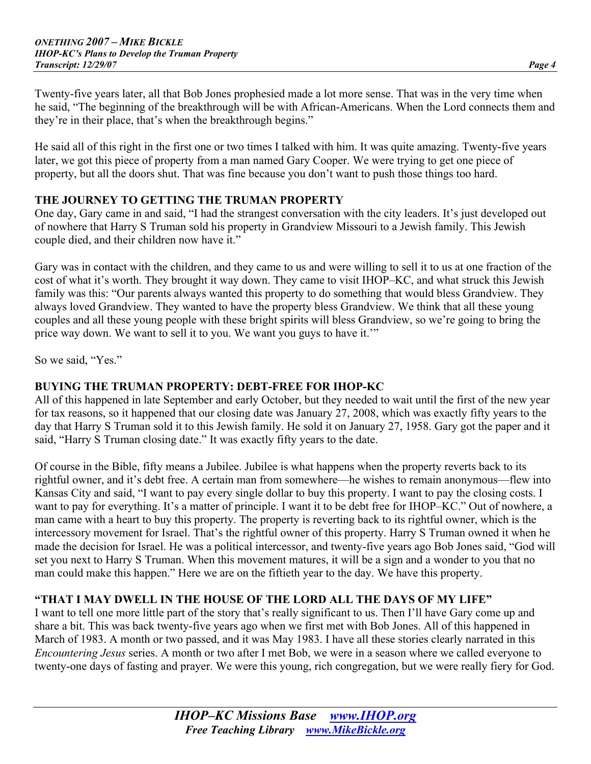Twenty-five years later, all that Bob Jones prophesied made a lot more sense. That was in the very time when he said, "The beginning of the breakthrough will be with African-Americans. When the Lord connects them and

He said all of this right in the first one or two times I talked with him. It was quite amazing. Twenty-five years later, we got this piece of property from a man named Gary Cooper. We were trying to get one piece of property, but all the doors shut. That was fine because you don't want to push those things too hard.

#### **THE JOURNEY TO GETTING THE TRUMAN PROPERTY**

they're in their place, that's when the breakthrough begins."

One day, Gary came in and said, "I had the strangest conversation with the city leaders. It's just developed out of nowhere that Harry S Truman sold his property in Grandview Missouri to a Jewish family. This Jewish couple died, and their children now have it."

Gary was in contact with the children, and they came to us and were willing to sell it to us at one fraction of the cost of what it's worth. They brought it way down. They came to visit IHOP–KC, and what struck this Jewish family was this: "Our parents always wanted this property to do something that would bless Grandview. They always loved Grandview. They wanted to have the property bless Grandview. We think that all these young couples and all these young people with these bright spirits will bless Grandview, so we're going to bring the price way down. We want to sell it to you. We want you guys to have it.'"

So we said, "Yes."

#### **BUYING THE TRUMAN PROPERTY: DEBT-FREE FOR IHOP-KC**

All of this happened in late September and early October, but they needed to wait until the first of the new year for tax reasons, so it happened that our closing date was January 27, 2008, which was exactly fifty years to the day that Harry S Truman sold it to this Jewish family. He sold it on January 27, 1958. Gary got the paper and it said, "Harry S Truman closing date." It was exactly fifty years to the date.

Of course in the Bible, fifty means a Jubilee. Jubilee is what happens when the property reverts back to its rightful owner, and it's debt free. A certain man from somewhere—he wishes to remain anonymous—flew into Kansas City and said, "I want to pay every single dollar to buy this property. I want to pay the closing costs. I want to pay for everything. It's a matter of principle. I want it to be debt free for IHOP–KC." Out of nowhere, a man came with a heart to buy this property. The property is reverting back to its rightful owner, which is the intercessory movement for Israel. That's the rightful owner of this property. Harry S Truman owned it when he made the decision for Israel. He was a political intercessor, and twenty-five years ago Bob Jones said, "God will set you next to Harry S Truman. When this movement matures, it will be a sign and a wonder to you that no man could make this happen." Here we are on the fiftieth year to the day. We have this property.

#### **"THAT I MAY DWELL IN THE HOUSE OF THE LORD ALL THE DAYS OF MY LIFE"**

I want to tell one more little part of the story that's really significant to us. Then I'll have Gary come up and share a bit. This was back twenty-five years ago when we first met with Bob Jones. All of this happened in March of 1983. A month or two passed, and it was May 1983. I have all these stories clearly narrated in this *Encountering Jesus* series. A month or two after I met Bob, we were in a season where we called everyone to twenty-one days of fasting and prayer. We were this young, rich congregation, but we were really fiery for God.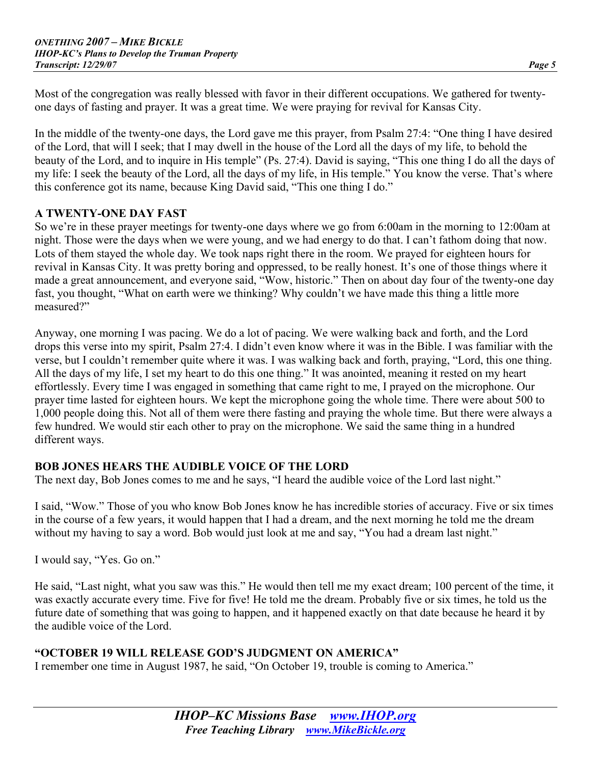Most of the congregation was really blessed with favor in their different occupations. We gathered for twentyone days of fasting and prayer. It was a great time. We were praying for revival for Kansas City.

In the middle of the twenty-one days, the Lord gave me this prayer, from Psalm 27:4: "One thing I have desired of the Lord, that will I seek; that I may dwell in the house of the Lord all the days of my life, to behold the beauty of the Lord, and to inquire in His temple" (Ps. 27:4). David is saying, "This one thing I do all the days of my life: I seek the beauty of the Lord, all the days of my life, in His temple." You know the verse. That's where this conference got its name, because King David said, "This one thing I do."

#### **A TWENTY-ONE DAY FAST**

So we're in these prayer meetings for twenty-one days where we go from 6:00am in the morning to 12:00am at night. Those were the days when we were young, and we had energy to do that. I can't fathom doing that now. Lots of them stayed the whole day. We took naps right there in the room. We prayed for eighteen hours for revival in Kansas City. It was pretty boring and oppressed, to be really honest. It's one of those things where it made a great announcement, and everyone said, "Wow, historic." Then on about day four of the twenty-one day fast, you thought, "What on earth were we thinking? Why couldn't we have made this thing a little more measured?"

Anyway, one morning I was pacing. We do a lot of pacing. We were walking back and forth, and the Lord drops this verse into my spirit, Psalm 27:4. I didn't even know where it was in the Bible. I was familiar with the verse, but I couldn't remember quite where it was. I was walking back and forth, praying, "Lord, this one thing. All the days of my life, I set my heart to do this one thing." It was anointed, meaning it rested on my heart effortlessly. Every time I was engaged in something that came right to me, I prayed on the microphone. Our prayer time lasted for eighteen hours. We kept the microphone going the whole time. There were about 500 to 1,000 people doing this. Not all of them were there fasting and praying the whole time. But there were always a few hundred. We would stir each other to pray on the microphone. We said the same thing in a hundred different ways.

# **BOB JONES HEARS THE AUDIBLE VOICE OF THE LORD**

The next day, Bob Jones comes to me and he says, "I heard the audible voice of the Lord last night."

I said, "Wow." Those of you who know Bob Jones know he has incredible stories of accuracy. Five or six times in the course of a few years, it would happen that I had a dream, and the next morning he told me the dream without my having to say a word. Bob would just look at me and say, "You had a dream last night."

I would say, "Yes. Go on."

He said, "Last night, what you saw was this." He would then tell me my exact dream; 100 percent of the time, it was exactly accurate every time. Five for five! He told me the dream. Probably five or six times, he told us the future date of something that was going to happen, and it happened exactly on that date because he heard it by the audible voice of the Lord.

# **"OCTOBER 19 WILL RELEASE GOD'S JUDGMENT ON AMERICA"**

I remember one time in August 1987, he said, "On October 19, trouble is coming to America."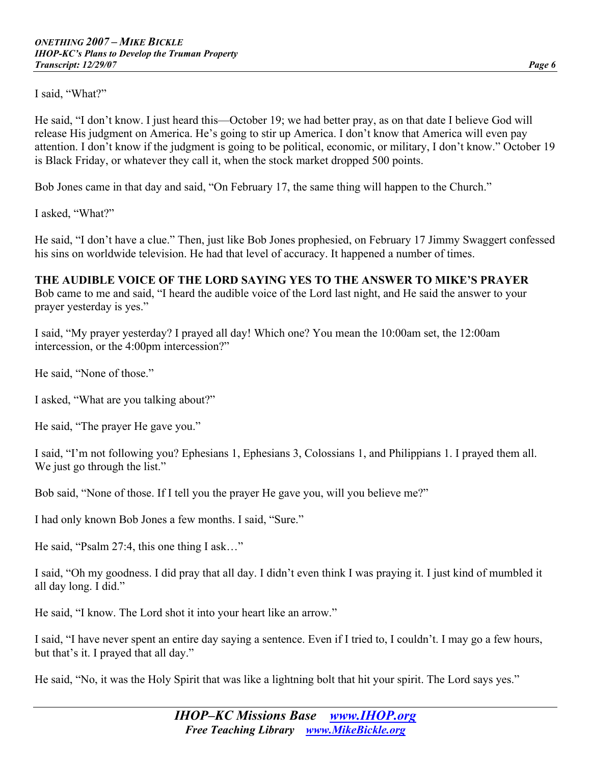I said, "What?"

He said, "I don't know. I just heard this—October 19; we had better pray, as on that date I believe God will release His judgment on America. He's going to stir up America. I don't know that America will even pay attention. I don't know if the judgment is going to be political, economic, or military, I don't know." October 19 is Black Friday, or whatever they call it, when the stock market dropped 500 points.

Bob Jones came in that day and said, "On February 17, the same thing will happen to the Church."

I asked, "What?"

He said, "I don't have a clue." Then, just like Bob Jones prophesied, on February 17 Jimmy Swaggert confessed his sins on worldwide television. He had that level of accuracy. It happened a number of times.

#### **THE AUDIBLE VOICE OF THE LORD SAYING YES TO THE ANSWER TO MIKE'S PRAYER**

Bob came to me and said, "I heard the audible voice of the Lord last night, and He said the answer to your prayer yesterday is yes."

I said, "My prayer yesterday? I prayed all day! Which one? You mean the 10:00am set, the 12:00am intercession, or the 4:00pm intercession?"

He said, "None of those."

I asked, "What are you talking about?"

He said, "The prayer He gave you."

I said, "I'm not following you? Ephesians 1, Ephesians 3, Colossians 1, and Philippians 1. I prayed them all. We just go through the list."

Bob said, "None of those. If I tell you the prayer He gave you, will you believe me?"

I had only known Bob Jones a few months. I said, "Sure."

He said, "Psalm 27:4, this one thing I ask…"

I said, "Oh my goodness. I did pray that all day. I didn't even think I was praying it. I just kind of mumbled it all day long. I did."

He said, "I know. The Lord shot it into your heart like an arrow."

I said, "I have never spent an entire day saying a sentence. Even if I tried to, I couldn't. I may go a few hours, but that's it. I prayed that all day."

He said, "No, it was the Holy Spirit that was like a lightning bolt that hit your spirit. The Lord says yes."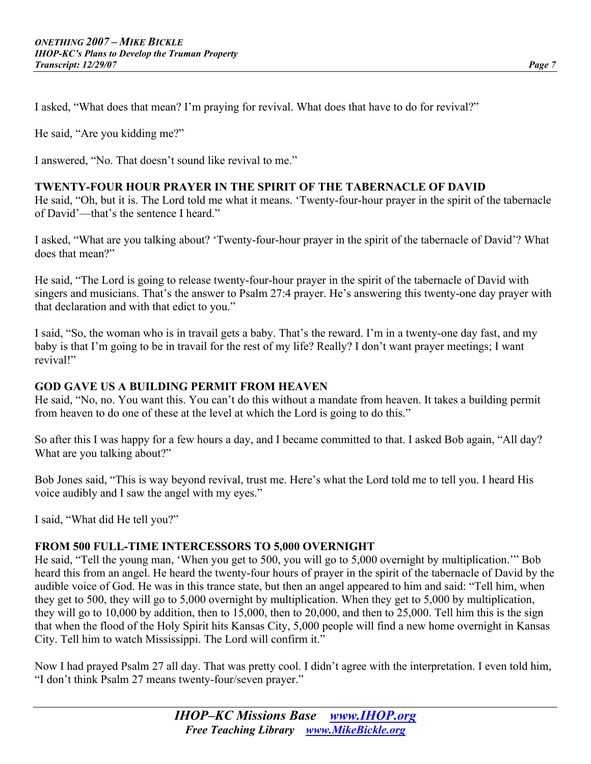I asked, "What does that mean? I'm praying for revival. What does that have to do for revival?"

He said, "Are you kidding me?"

I answered, "No. That doesn't sound like revival to me."

#### **TWENTY-FOUR HOUR PRAYER IN THE SPIRIT OF THE TABERNACLE OF DAVID**

He said, "Oh, but it is. The Lord told me what it means. 'Twenty-four-hour prayer in the spirit of the tabernacle of David'—that's the sentence I heard."

I asked, "What are you talking about? 'Twenty-four-hour prayer in the spirit of the tabernacle of David'? What does that mean?"

He said, "The Lord is going to release twenty-four-hour prayer in the spirit of the tabernacle of David with singers and musicians. That's the answer to Psalm 27:4 prayer. He's answering this twenty-one day prayer with that declaration and with that edict to you."

I said, "So, the woman who is in travail gets a baby. That's the reward. I'm in a twenty-one day fast, and my baby is that I'm going to be in travail for the rest of my life? Really? I don't want prayer meetings; I want revival!"

#### **GOD GAVE US A BUILDING PERMIT FROM HEAVEN**

He said, "No, no. You want this. You can't do this without a mandate from heaven. It takes a building permit from heaven to do one of these at the level at which the Lord is going to do this."

So after this I was happy for a few hours a day, and I became committed to that. I asked Bob again, "All day? What are you talking about?"

Bob Jones said, "This is way beyond revival, trust me. Here's what the Lord told me to tell you. I heard His voice audibly and I saw the angel with my eyes."

I said, "What did He tell you?"

#### **FROM 500 FULL-TIME INTERCESSORS TO 5,000 OVERNIGHT**

He said, "Tell the young man, 'When you get to 500, you will go to 5,000 overnight by multiplication.'" Bob heard this from an angel. He heard the twenty-four hours of prayer in the spirit of the tabernacle of David by the audible voice of God. He was in this trance state, but then an angel appeared to him and said: "Tell him, when they get to 500, they will go to 5,000 overnight by multiplication. When they get to 5,000 by multiplication, they will go to 10,000 by addition, then to 15,000, then to 20,000, and then to 25,000. Tell him this is the sign that when the flood of the Holy Spirit hits Kansas City, 5,000 people will find a new home overnight in Kansas City. Tell him to watch Mississippi. The Lord will confirm it."

Now I had prayed Psalm 27 all day. That was pretty cool. I didn't agree with the interpretation. I even told him, "I don't think Psalm 27 means twenty-four/seven prayer."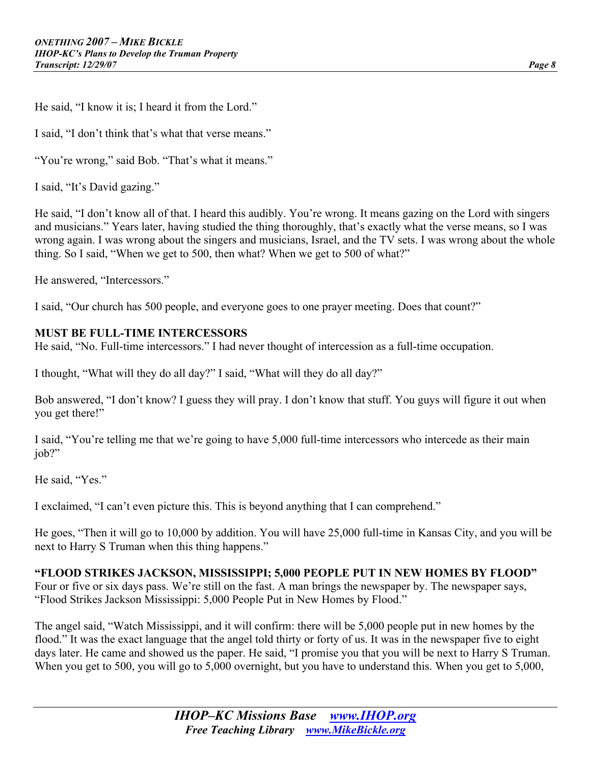He said, "I know it is; I heard it from the Lord."

I said, "I don't think that's what that verse means."

"You're wrong," said Bob. "That's what it means."

I said, "It's David gazing."

He said, "I don't know all of that. I heard this audibly. You're wrong. It means gazing on the Lord with singers and musicians." Years later, having studied the thing thoroughly, that's exactly what the verse means, so I was wrong again. I was wrong about the singers and musicians, Israel, and the TV sets. I was wrong about the whole thing. So I said, "When we get to 500, then what? When we get to 500 of what?"

He answered, "Intercessors."

I said, "Our church has 500 people, and everyone goes to one prayer meeting. Does that count?"

#### **MUST BE FULL-TIME INTERCESSORS**

He said, "No. Full-time intercessors." I had never thought of intercession as a full-time occupation.

I thought, "What will they do all day?" I said, "What will they do all day?"

Bob answered, "I don't know? I guess they will pray. I don't know that stuff. You guys will figure it out when you get there!"

I said, "You're telling me that we're going to have 5,000 full-time intercessors who intercede as their main job?"

He said, "Yes."

I exclaimed, "I can't even picture this. This is beyond anything that I can comprehend."

He goes, "Then it will go to 10,000 by addition. You will have 25,000 full-time in Kansas City, and you will be next to Harry S Truman when this thing happens."

#### **"FLOOD STRIKES JACKSON, MISSISSIPPI; 5,000 PEOPLE PUT IN NEW HOMES BY FLOOD"**

Four or five or six days pass. We're still on the fast. A man brings the newspaper by. The newspaper says, "Flood Strikes Jackson Mississippi: 5,000 People Put in New Homes by Flood."

The angel said, "Watch Mississippi, and it will confirm: there will be 5,000 people put in new homes by the flood." It was the exact language that the angel told thirty or forty of us. It was in the newspaper five to eight days later. He came and showed us the paper. He said, "I promise you that you will be next to Harry S Truman. When you get to 500, you will go to 5,000 overnight, but you have to understand this. When you get to 5,000,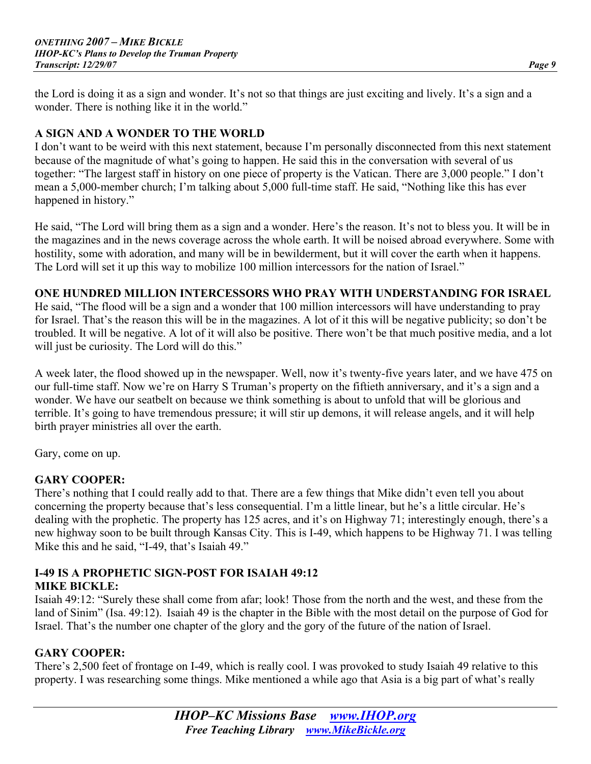the Lord is doing it as a sign and wonder. It's not so that things are just exciting and lively. It's a sign and a wonder. There is nothing like it in the world."

## **A SIGN AND A WONDER TO THE WORLD**

I don't want to be weird with this next statement, because I'm personally disconnected from this next statement because of the magnitude of what's going to happen. He said this in the conversation with several of us together: "The largest staff in history on one piece of property is the Vatican. There are 3,000 people." I don't mean a 5,000-member church; I'm talking about 5,000 full-time staff. He said, "Nothing like this has ever happened in history."

He said, "The Lord will bring them as a sign and a wonder. Here's the reason. It's not to bless you. It will be in the magazines and in the news coverage across the whole earth. It will be noised abroad everywhere. Some with hostility, some with adoration, and many will be in bewilderment, but it will cover the earth when it happens. The Lord will set it up this way to mobilize 100 million intercessors for the nation of Israel."

#### **ONE HUNDRED MILLION INTERCESSORS WHO PRAY WITH UNDERSTANDING FOR ISRAEL**

He said, "The flood will be a sign and a wonder that 100 million intercessors will have understanding to pray for Israel. That's the reason this will be in the magazines. A lot of it this will be negative publicity; so don't be troubled. It will be negative. A lot of it will also be positive. There won't be that much positive media, and a lot will just be curiosity. The Lord will do this."

A week later, the flood showed up in the newspaper. Well, now it's twenty-five years later, and we have 475 on our full-time staff. Now we're on Harry S Truman's property on the fiftieth anniversary, and it's a sign and a wonder. We have our seatbelt on because we think something is about to unfold that will be glorious and terrible. It's going to have tremendous pressure; it will stir up demons, it will release angels, and it will help birth prayer ministries all over the earth.

Gary, come on up.

#### **GARY COOPER:**

There's nothing that I could really add to that. There are a few things that Mike didn't even tell you about concerning the property because that's less consequential. I'm a little linear, but he's a little circular. He's dealing with the prophetic. The property has 125 acres, and it's on Highway 71; interestingly enough, there's a new highway soon to be built through Kansas City. This is I-49, which happens to be Highway 71. I was telling Mike this and he said, "I-49, that's Isaiah 49."

# **I-49 IS A PROPHETIC SIGN-POST FOR ISAIAH 49:12**

#### **MIKE BICKLE:**

Isaiah 49:12: "Surely these shall come from afar; look! Those from the north and the west, and these from the land of Sinim" (Isa. 49:12). Isaiah 49 is the chapter in the Bible with the most detail on the purpose of God for Israel. That's the number one chapter of the glory and the gory of the future of the nation of Israel.

#### **GARY COOPER:**

There's 2,500 feet of frontage on I-49, which is really cool. I was provoked to study Isaiah 49 relative to this property. I was researching some things. Mike mentioned a while ago that Asia is a big part of what's really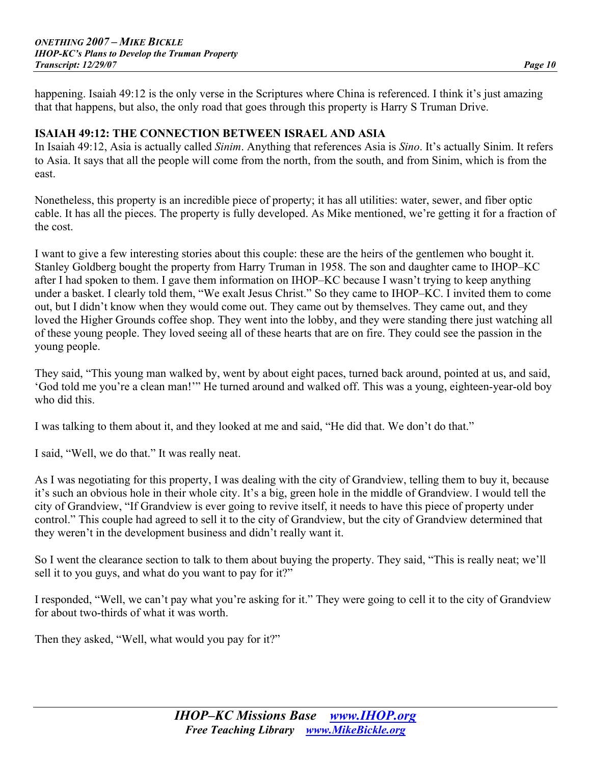happening. Isaiah 49:12 is the only verse in the Scriptures where China is referenced. I think it's just amazing that that happens, but also, the only road that goes through this property is Harry S Truman Drive.

#### **ISAIAH 49:12: THE CONNECTION BETWEEN ISRAEL AND ASIA**

In Isaiah 49:12, Asia is actually called *Sinim*. Anything that references Asia is *Sino*. It's actually Sinim. It refers to Asia. It says that all the people will come from the north, from the south, and from Sinim, which is from the east.

Nonetheless, this property is an incredible piece of property; it has all utilities: water, sewer, and fiber optic cable. It has all the pieces. The property is fully developed. As Mike mentioned, we're getting it for a fraction of the cost.

I want to give a few interesting stories about this couple: these are the heirs of the gentlemen who bought it. Stanley Goldberg bought the property from Harry Truman in 1958. The son and daughter came to IHOP–KC after I had spoken to them. I gave them information on IHOP–KC because I wasn't trying to keep anything under a basket. I clearly told them, "We exalt Jesus Christ." So they came to IHOP–KC. I invited them to come out, but I didn't know when they would come out. They came out by themselves. They came out, and they loved the Higher Grounds coffee shop. They went into the lobby, and they were standing there just watching all of these young people. They loved seeing all of these hearts that are on fire. They could see the passion in the young people.

They said, "This young man walked by, went by about eight paces, turned back around, pointed at us, and said, 'God told me you're a clean man!'" He turned around and walked off. This was a young, eighteen-year-old boy who did this.

I was talking to them about it, and they looked at me and said, "He did that. We don't do that."

I said, "Well, we do that." It was really neat.

As I was negotiating for this property, I was dealing with the city of Grandview, telling them to buy it, because it's such an obvious hole in their whole city. It's a big, green hole in the middle of Grandview. I would tell the city of Grandview, "If Grandview is ever going to revive itself, it needs to have this piece of property under control." This couple had agreed to sell it to the city of Grandview, but the city of Grandview determined that they weren't in the development business and didn't really want it.

So I went the clearance section to talk to them about buying the property. They said, "This is really neat; we'll sell it to you guys, and what do you want to pay for it?"

I responded, "Well, we can't pay what you're asking for it." They were going to cell it to the city of Grandview for about two-thirds of what it was worth.

Then they asked, "Well, what would you pay for it?"